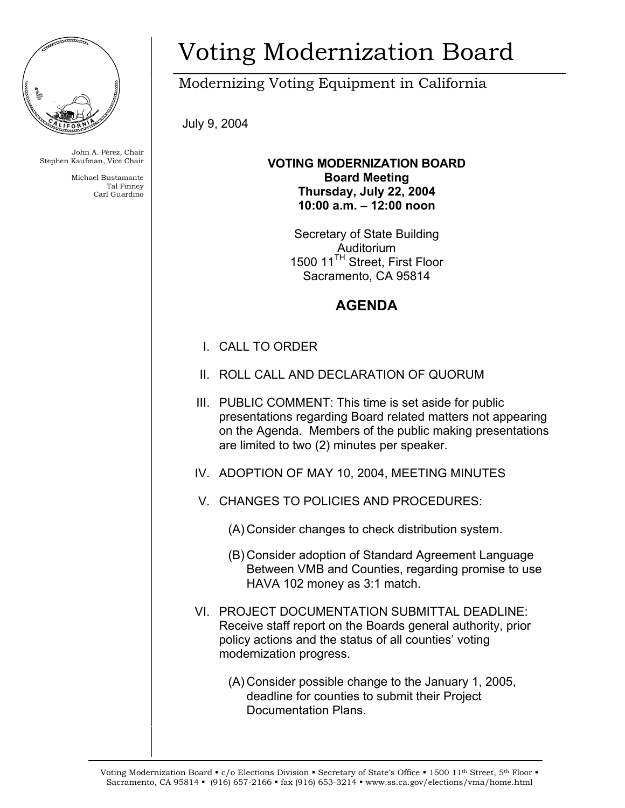

John A. Pérez, Chair Stephen Kaufman, Vice Chair

> Michael Bustamante Tal Finney Carl Guardino

## Voting Modernization Board

Modernizing Voting Equipment in California

July 9, 2004

**VOTING MODERNIZATION BOARD Board Meeting Thursday, July 22, 2004 10:00 a.m. – 12:00 noon** 

> Secretary of State Building Auditorium 1500 11<sup>TH</sup> Street, First Floor Sacramento, CA 95814

## **AGENDA**

- I. CALL TO ORDER
- II. ROLL CALL AND DECLARATION OF QUORUM
- III. PUBLIC COMMENT: This time is set aside for public presentations regarding Board related matters not appearing on the Agenda. Members of the public making presentations are limited to two (2) minutes per speaker.
- IV. ADOPTION OF MAY 10, 2004, MEETING MINUTES
- V. CHANGES TO POLICIES AND PROCEDURES:
	- (A) Consider changes to check distribution system.
	- (B) Consider adoption of Standard Agreement Language Between VMB and Counties, regarding promise to use HAVA 102 money as 3:1 match.
- VI. PROJECT DOCUMENTATION SUBMITTAL DEADLINE: Receive staff report on the Boards general authority, prior policy actions and the status of all counties' voting modernization progress.
	- (A) Consider possible change to the January 1, 2005, deadline for counties to submit their Project Documentation Plans.